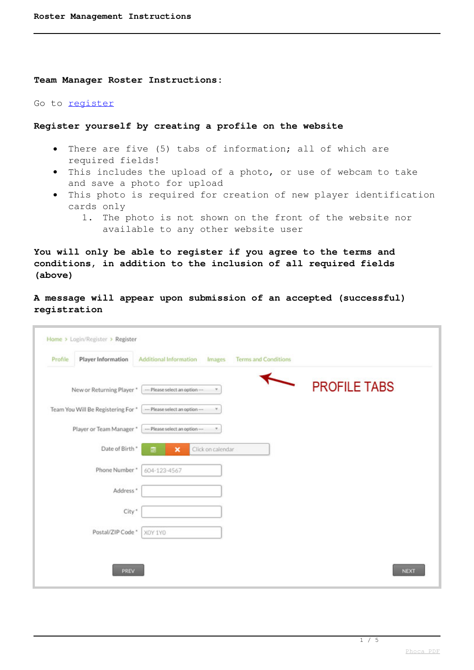**Team Manager Roster Instructions:**

Go to [register](component/users/?view=registration)

## **Register yourself by creating a profile on the website**

- There are five (5) tabs of information; all of which are required fields!
- This includes the upload of a photo, or use of webcam to take and save a photo for upload
- This photo is required for creation of new player identification cards only
	- 1. The photo is not shown on the front of the website nor available to any other website user

**You will only be able to register if you agree to the terms and conditions, in addition to the inclusion of all required fields (above)**

**A message will appear upon submission of an accepted (successful) registration**

|         | Home > Login/Register > Register   |                                 |                   |                             |                     |             |
|---------|------------------------------------|---------------------------------|-------------------|-----------------------------|---------------------|-------------|
| Profile | Player Information                 | Additional Information          | Images            | <b>Terms and Conditions</b> |                     |             |
|         | New or Returning Player *          | --- Please select an option-    |                   |                             | <b>PROFILE TABS</b> |             |
|         | Team You Will Be Registering For * | --- Please select an option --- |                   |                             |                     |             |
|         | Player or Team Manager *           | --- Please select an option --- |                   |                             |                     |             |
|         | Date of Birth *                    | $\mathbf x$                     | Click on calendar |                             |                     |             |
|         | Phone Number*                      | 604-123-4567                    |                   |                             |                     |             |
|         | Address <sup>*</sup>               |                                 |                   |                             |                     |             |
|         | City*                              |                                 |                   |                             |                     |             |
|         | Postal/ZIP Code*                   | XOY 1YO                         |                   |                             |                     |             |
|         |                                    |                                 |                   |                             |                     |             |
|         | <b>PREV</b>                        |                                 |                   |                             |                     | <b>NEXT</b> |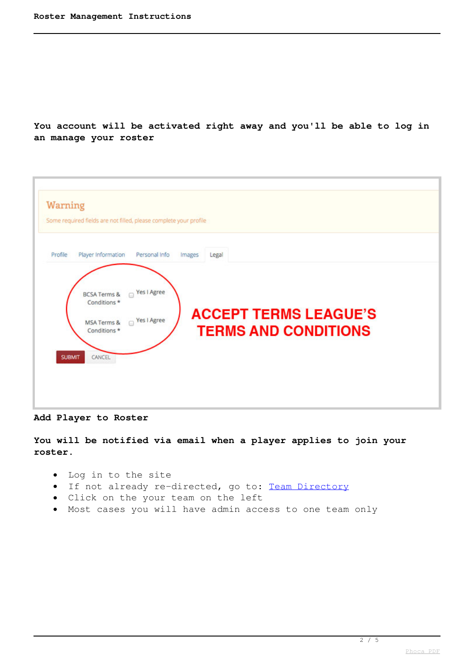**You account will be activated right away and you'll be able to log in an manage your roster**

| Warning<br>Some required fields are not filled, please complete your profile                                                                                                                    |                                                                      |
|-------------------------------------------------------------------------------------------------------------------------------------------------------------------------------------------------|----------------------------------------------------------------------|
| Player Information<br>Personal Info<br>Profile<br>Images<br>□ Yes I Agree<br><b>BCSA Terms &amp;</b><br>Conditions *<br>□ Yes I Agree<br>MSA Terms &<br>Conditions *<br><b>SUBMIT</b><br>CANCEL | Legal<br><b>ACCEPT TERMS LEAGUE'S</b><br><b>TERMS AND CONDITIONS</b> |

**Add Player to Roster**

**You will be notified via email when a player applies to join your roster.**

- Log in to the site
- If not already re-directed, go to: [Team Directory](resources/documents-lists/team-list)
- Click on the your team on the left
- Most cases you will have admin access to one team only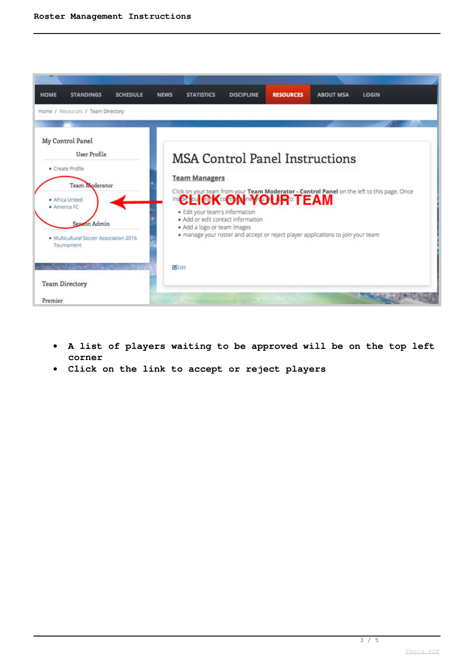

- **A list of players waiting to be approved will be on the top left**  $\bullet$ **corner**
- **Click on the link to accept or reject players**  $\bullet$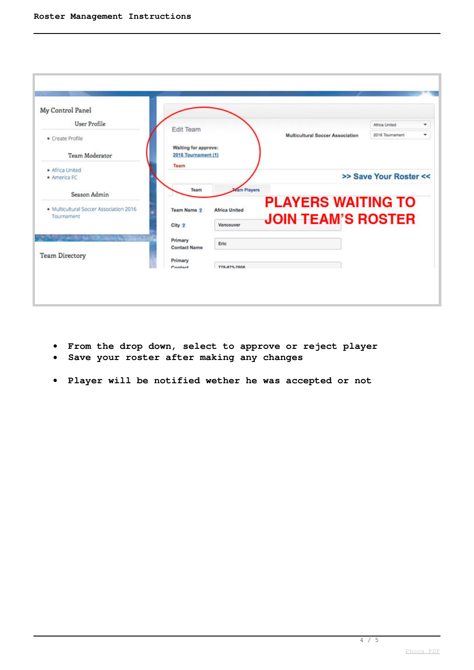| ٠<br>۰<br>2016 Tournament |
|---------------------------|
|                           |
|                           |
|                           |
|                           |
| >> Save Your Roster <<    |
|                           |
| <b>PLAYERS WAITING TO</b> |
| <b>JOIN TEAM'S ROSTER</b> |
|                           |
|                           |
|                           |
|                           |

- **From the drop down, select to approve or reject player**
- **Save your roster after making any changes**
- **Player will be notified wether he was accepted or not**